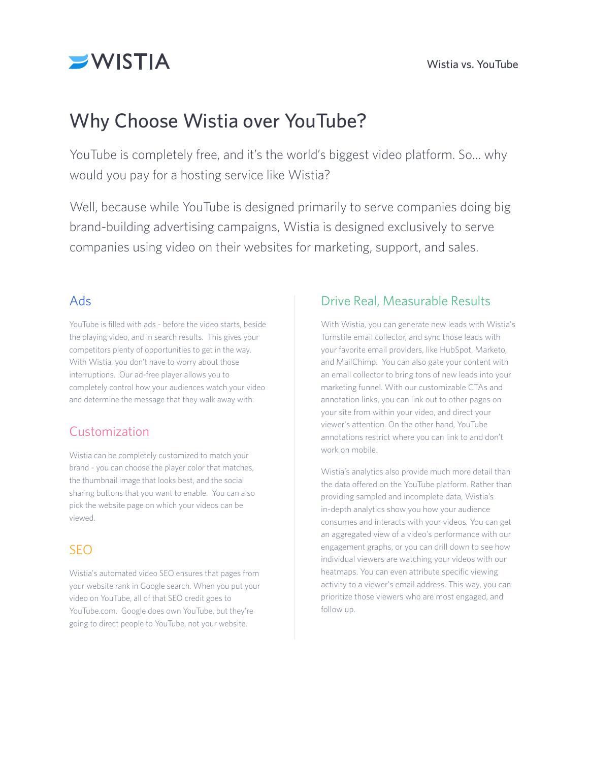

# Why Choose Wistia over YouTube?

YouTube is completely free, and it's the world's biggest video platform. So… why would you pay for a hosting service like Wistia?

Well, because while YouTube is designed primarily to serve companies doing big brand-building advertising campaigns, Wistia is designed exclusively to serve companies using video on their websites for marketing, support, and sales.

#### Ads

YouTube is filled with ads - before the video starts, beside the playing video, and in search results. This gives your competitors plenty of opportunities to get in the way. With Wistia, you don't have to worry about those interruptions. Our ad-free player allows you to completely control how your audiences watch your video and determine the message that they walk away with.

## Customization

Wistia can be completely customized to match your brand - you can choose the player color that matches, the thumbnail image that looks best, and the social sharing buttons that you want to enable. You can also pick the website page on which your videos can be viewed.

## SEO

Wistia's automated video SEO ensures that pages from your website rank in Google search. When you put your video on YouTube, all of that SEO credit goes to YouTube.com. Google does own YouTube, but they're going to direct people to YouTube, not your website.

### Drive Real, Measurable Results

With Wistia, you can generate new leads with Wistia's Turnstile email collector, and sync those leads with your favorite email providers, like HubSpot, Marketo, and MailChimp. You can also gate your content with an email collector to bring tons of new leads into your marketing funnel. With our customizable CTAs and annotation links, you can link out to other pages on your site from within your video, and direct your viewer's attention. On the other hand, YouTube annotations restrict where you can link to and don't work on mobile.

Wistia's analytics also provide much more detail than the data offered on the YouTube platform. Rather than providing sampled and incomplete data, Wistia's in-depth analytics show you how your audience consumes and interacts with your videos. You can get an aggregated view of a video's performance with our engagement graphs, or you can drill down to see how individual viewers are watching your videos with our heatmaps. You can even attribute specific viewing activity to a viewer's email address. This way, you can prioritize those viewers who are most engaged, and follow up.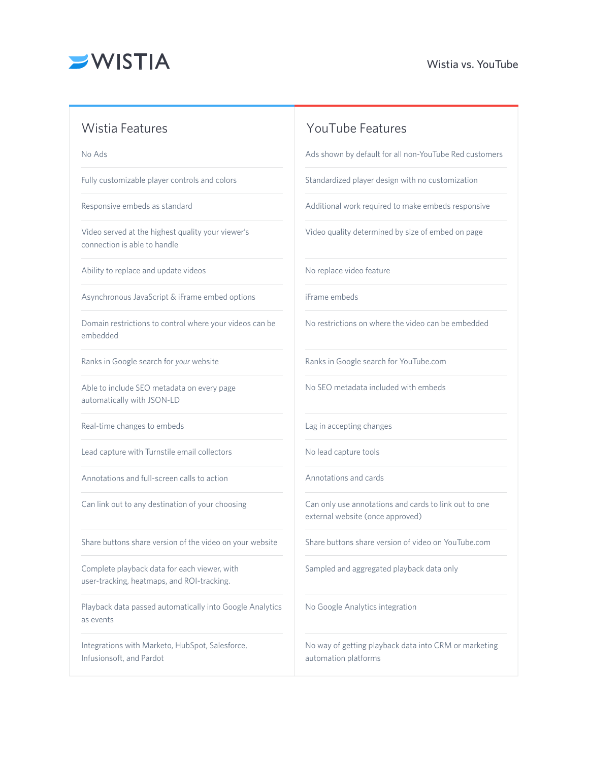

#### Wistia Features XV VouTube Features

No Ads

Fully customizable player controls and colors

Responsive embeds as standard

Video served at the highest quality your viewer's connection is able to handle

Ability to replace and update videos

Asynchronous JavaScript & iFrame embed options

Domain restrictions to control where your videos can be embedded

Ranks in Google search for *your* website

Able to include SEO metadata on every page automatically with JSON-LD

Real-time changes to embeds

Lead capture with Turnstile email collectors

Annotations and full-screen calls to action

Can link out to any destination of your choosing

Share buttons share version of the video on your website

Complete playback data for each viewer, with user-tracking, heatmaps, and ROI-tracking.

Playback data passed automatically into Google Analytics as events

Integrations with Marketo, HubSpot, Salesforce, Infusionsoft, and Pardot

Ads shown by default for all non-YouTube Red customers

Standardized player design with no customization

Additional work required to make embeds responsive

Video quality determined by size of embed on page

No replace video feature

iFrame embeds

No restrictions on where the video can be embedded

Ranks in Google search for YouTube.com

No SEO metadata included with embeds

Lag in accepting changes

No lead capture tools

Annotations and cards

Can only use annotations and cards to link out to one external website (once approved)

Share buttons share version of video on YouTube.com

Sampled and aggregated playback data only

No Google Analytics integration

No way of getting playback data into CRM or marketing automation platforms